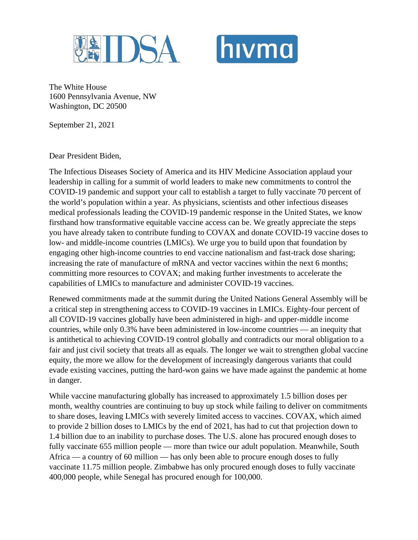



The White House 1600 Pennsylvania Avenue, NW Washington, DC 20500

September 21, 2021

Dear President Biden,

The Infectious Diseases Society of America and its HIV Medicine Association applaud your leadership in calling for a summit of world leaders to make new commitments to control the COVID-19 pandemic and support your call to establish a target to fully vaccinate 70 percent of the world's population within a year. As physicians, scientists and other infectious diseases medical professionals leading the COVID-19 pandemic response in the United States, we know firsthand how transformative equitable vaccine access can be. We greatly appreciate the steps you have already taken to contribute funding to COVAX and donate COVID-19 vaccine doses to low- and middle-income countries (LMICs). We urge you to build upon that foundation by engaging other high-income countries to end vaccine nationalism and fast-track dose sharing; increasing the rate of manufacture of mRNA and vector vaccines within the next 6 months; committing more resources to COVAX; and making further investments to accelerate the capabilities of LMICs to manufacture and administer COVID-19 vaccines.

Renewed commitments made at the summit during the United Nations General Assembly will be a critical step in strengthening access to COVID-19 vaccines in LMICs. Eighty-four percent of all COVID-19 vaccines globally have been administered in high- and upper-middle income countries, while only 0.3% have been administered in low-income countries — an inequity that is antithetical to achieving COVID-19 control globally and contradicts our moral obligation to a fair and just civil society that treats all as equals. The longer we wait to strengthen global vaccine equity, the more we allow for the development of increasingly dangerous variants that could evade existing vaccines, putting the hard-won gains we have made against the pandemic at home in danger.

While vaccine manufacturing globally has increased to approximately 1.5 billion doses per month, wealthy countries are continuing to buy up stock while failing to deliver on commitments to share doses, leaving LMICs with severely limited access to vaccines. COVAX, which aimed to provide 2 billion doses to LMICs by the end of 2021, has had to cut that projection down to 1.4 billion due to an inability to purchase doses. The U.S. alone has procured enough doses to fully vaccinate 655 million people — more than twice our adult population. Meanwhile, South Africa — a country of 60 million — has only been able to procure enough doses to fully vaccinate 11.75 million people. Zimbabwe has only procured enough doses to fully vaccinate 400,000 people, while Senegal has procured enough for 100,000.